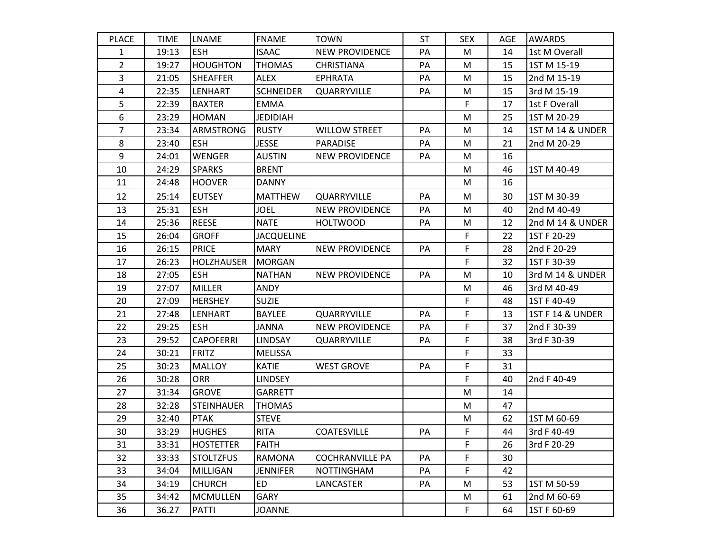| <b>PLACE</b>   | <b>TIME</b> | <b>LNAME</b>      | <b>FNAME</b>      | <b>TOWN</b>            | <b>ST</b> | <b>SEX</b>   | AGE | <b>AWARDS</b>               |
|----------------|-------------|-------------------|-------------------|------------------------|-----------|--------------|-----|-----------------------------|
| 1              | 19:13       | <b>ESH</b>        | <b>ISAAC</b>      | <b>NEW PROVIDENCE</b>  | PA        | M            | 14  | 1st M Overall               |
| $\overline{2}$ | 19:27       | <b>HOUGHTON</b>   | <b>THOMAS</b>     | <b>CHRISTIANA</b>      | PA        | M            | 15  | 1ST M 15-19                 |
| 3              | 21:05       | <b>SHEAFFER</b>   | <b>ALEX</b>       | <b>EPHRATA</b>         | PA        | M            | 15  | 2nd M 15-19                 |
| 4              | 22:35       | LENHART           | <b>SCHNEIDER</b>  | QUARRYVILLE            | PA        | M            | 15  | 3rd M 15-19                 |
| 5              | 22:39       | <b>BAXTER</b>     | <b>EMMA</b>       |                        |           | $\mathsf{F}$ | 17  | 1st F Overall               |
| 6              | 23:29       | <b>HOMAN</b>      | <b>JEDIDIAH</b>   |                        |           | M            | 25  | 1ST M 20-29                 |
| $\overline{7}$ | 23:34       | <b>ARMSTRONG</b>  | <b>RUSTY</b>      | <b>WILLOW STREET</b>   | PA        | M            | 14  | 1ST M 14 & UNDER            |
| 8              | 23:40       | <b>ESH</b>        | <b>JESSE</b>      | <b>PARADISE</b>        | PA        | M            | 21  | 2nd M 20-29                 |
| 9              | 24:01       | <b>WENGER</b>     | <b>AUSTIN</b>     | <b>NEW PROVIDENCE</b>  | PA        | M            | 16  |                             |
| 10             | 24:29       | <b>SPARKS</b>     | <b>BRENT</b>      |                        |           | M            | 46  | 1ST M 40-49                 |
| 11             | 24:48       | <b>HOOVER</b>     | <b>DANNY</b>      |                        |           | M            | 16  |                             |
| 12             | 25:14       | <b>EUTSEY</b>     | <b>MATTHEW</b>    | QUARRYVILLE            | PA        | M            | 30  | 1ST M 30-39                 |
| 13             | 25:31       | <b>ESH</b>        | <b>JOEL</b>       | <b>NEW PROVIDENCE</b>  | PA        | M            | 40  | 2nd M 40-49                 |
| 14             | 25:36       | <b>REESE</b>      | <b>NATE</b>       | <b>HOLTWOOD</b>        | PA        | M            | 12  | 2nd M 14 & UNDER            |
| 15             | 26:04       | <b>GROFF</b>      | <b>JACQUELINE</b> |                        |           | $\mathsf F$  | 22  | 1ST F 20-29                 |
| 16             | 26:15       | <b>PRICE</b>      | <b>MARY</b>       | <b>NEW PROVIDENCE</b>  | PA        | F            | 28  | 2nd F 20-29                 |
| 17             | 26:23       | <b>HOLZHAUSER</b> | <b>MORGAN</b>     |                        |           | F            | 32  | 1ST F 30-39                 |
| 18             | 27:05       | <b>ESH</b>        | <b>NATHAN</b>     | <b>NEW PROVIDENCE</b>  | PA        | M            | 10  | 3rd M 14 & UNDER            |
| 19             | 27:07       | <b>MILLER</b>     | <b>ANDY</b>       |                        |           | M            | 46  | 3rd M 40-49                 |
| 20             | 27:09       | <b>HERSHEY</b>    | <b>SUZIE</b>      |                        |           | F            | 48  | 1ST F 40-49                 |
| 21             | 27:48       | LENHART           | <b>BAYLEE</b>     | QUARRYVILLE            | PA        | F            | 13  | <b>1ST F 14 &amp; UNDER</b> |
| 22             | 29:25       | <b>ESH</b>        | <b>JANNA</b>      | <b>NEW PROVIDENCE</b>  | PA        | F            | 37  | 2nd F 30-39                 |
| 23             | 29:52       | <b>CAPOFERRI</b>  | LINDSAY           | QUARRYVILLE            | PA        | F            | 38  | 3rd F 30-39                 |
| 24             | 30:21       | <b>FRITZ</b>      | <b>MELISSA</b>    |                        |           | F            | 33  |                             |
| 25             | 30:23       | <b>MALLOY</b>     | <b>KATIE</b>      | <b>WEST GROVE</b>      | PA        | F            | 31  |                             |
| 26             | 30:28       | <b>ORR</b>        | <b>LINDSEY</b>    |                        |           | F            | 40  | 2nd F 40-49                 |
| 27             | 31:34       | <b>GROVE</b>      | <b>GARRETT</b>    |                        |           | M            | 14  |                             |
| 28             | 32:28       | <b>STEINHAUER</b> | <b>THOMAS</b>     |                        |           | M            | 47  |                             |
| 29             | 32:40       | <b>PTAK</b>       | <b>STEVE</b>      |                        |           | M            | 62  | 1ST M 60-69                 |
| 30             | 33:29       | <b>HUGHES</b>     | <b>RITA</b>       | COATESVILLE            | PA        | F            | 44  | 3rd F 40-49                 |
| 31             | 33:31       | <b>HOSTETTER</b>  | <b>FAITH</b>      |                        |           | F            | 26  | 3rd F 20-29                 |
| 32             | 33:33       | <b>STOLTZFUS</b>  | <b>RAMONA</b>     | <b>COCHRANVILLE PA</b> | PA        | F            | 30  |                             |
| 33             | 34:04       | <b>MILLIGAN</b>   | <b>JENNIFER</b>   | <b>NOTTINGHAM</b>      | PA        | F            | 42  |                             |
| 34             | 34:19       | <b>CHURCH</b>     | ED                | LANCASTER              | PA        | M            | 53  | 1ST M 50-59                 |
| 35             | 34:42       | <b>MCMULLEN</b>   | GARY              |                        |           | M            | 61  | 2nd M 60-69                 |
| 36             | 36.27       | <b>PATTI</b>      | <b>JOANNE</b>     |                        |           | $\mathsf F$  | 64  | 1ST F 60-69                 |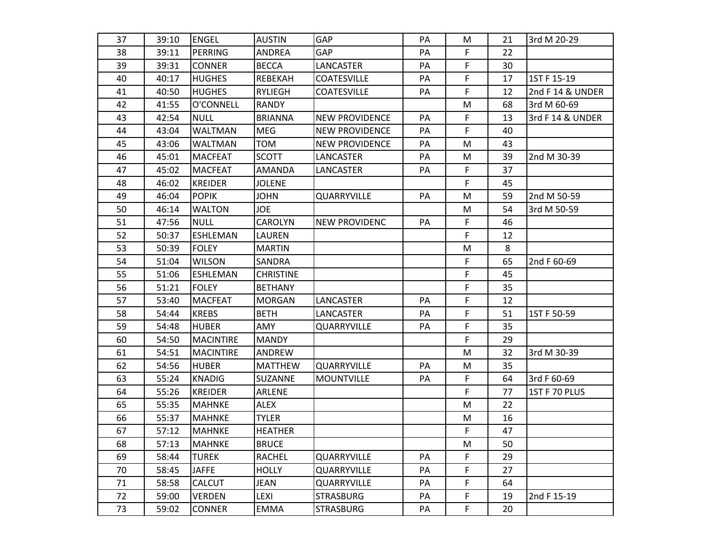| 37 | 39:10 | <b>ENGEL</b>     | <b>AUSTIN</b>    | GAP                   | PA | M  | 21 | 3rd M 20-29      |
|----|-------|------------------|------------------|-----------------------|----|----|----|------------------|
| 38 | 39:11 | PERRING          | <b>ANDREA</b>    | GAP                   | PA | F  | 22 |                  |
| 39 | 39:31 | <b>CONNER</b>    | <b>BECCA</b>     | LANCASTER             | PA | F  | 30 |                  |
| 40 | 40:17 | <b>HUGHES</b>    | REBEKAH          | <b>COATESVILLE</b>    | PA | F  | 17 | 1ST F 15-19      |
| 41 | 40:50 | <b>HUGHES</b>    | <b>RYLIEGH</b>   | <b>COATESVILLE</b>    | PA | F  | 12 | 2nd F 14 & UNDER |
| 42 | 41:55 | O'CONNELL        | RANDY            |                       |    | M  | 68 | 3rd M 60-69      |
| 43 | 42:54 | <b>NULL</b>      | <b>BRIANNA</b>   | <b>NEW PROVIDENCE</b> | PA | F  | 13 | 3rd F 14 & UNDER |
| 44 | 43:04 | <b>WALTMAN</b>   | <b>MEG</b>       | <b>NEW PROVIDENCE</b> | PA | F  | 40 |                  |
| 45 | 43:06 | <b>WALTMAN</b>   | <b>TOM</b>       | <b>NEW PROVIDENCE</b> | PA | M  | 43 |                  |
| 46 | 45:01 | <b>MACFEAT</b>   | <b>SCOTT</b>     | LANCASTER             | PA | М  | 39 | 2nd M 30-39      |
| 47 | 45:02 | <b>MACFEAT</b>   | <b>AMANDA</b>    | LANCASTER             | PA | F  | 37 |                  |
| 48 | 46:02 | <b>KREIDER</b>   | <b>JOLENE</b>    |                       |    | F  | 45 |                  |
| 49 | 46:04 | <b>POPIK</b>     | <b>JOHN</b>      | <b>QUARRYVILLE</b>    | PA | M  | 59 | 2nd M 50-59      |
| 50 | 46:14 | <b>WALTON</b>    | <b>JOE</b>       |                       |    | M  | 54 | 3rd M 50-59      |
| 51 | 47:56 | <b>NULL</b>      | <b>CAROLYN</b>   | <b>NEW PROVIDENC</b>  | PA | F. | 46 |                  |
| 52 | 50:37 | <b>ESHLEMAN</b>  | LAUREN           |                       |    | F  | 12 |                  |
| 53 | 50:39 | <b>FOLEY</b>     | <b>MARTIN</b>    |                       |    | M  | 8  |                  |
| 54 | 51:04 | <b>WILSON</b>    | <b>SANDRA</b>    |                       |    | F  | 65 | 2nd F 60-69      |
| 55 | 51:06 | <b>ESHLEMAN</b>  | <b>CHRISTINE</b> |                       |    | F  | 45 |                  |
| 56 | 51:21 | <b>FOLEY</b>     | <b>BETHANY</b>   |                       |    | F  | 35 |                  |
| 57 | 53:40 | <b>MACFEAT</b>   | <b>MORGAN</b>    | LANCASTER             | PA | F  | 12 |                  |
| 58 | 54:44 | <b>KREBS</b>     | <b>BETH</b>      | LANCASTER             | PA | F  | 51 | 1ST F 50-59      |
| 59 | 54:48 | <b>HUBER</b>     | AMY              | QUARRYVILLE           | PA | F  | 35 |                  |
| 60 | 54:50 | <b>MACINTIRE</b> | <b>MANDY</b>     |                       |    | F  | 29 |                  |
| 61 | 54:51 | <b>MACINTIRE</b> | ANDREW           |                       |    | M  | 32 | 3rd M 30-39      |
| 62 | 54:56 | <b>HUBER</b>     | <b>MATTHEW</b>   | <b>QUARRYVILLE</b>    | PA | M  | 35 |                  |
| 63 | 55:24 | <b>KNADIG</b>    | SUZANNE          | <b>MOUNTVILLE</b>     | PA | F  | 64 | 3rd F 60-69      |
| 64 | 55:26 | <b>KREIDER</b>   | <b>ARLENE</b>    |                       |    | F. | 77 | 1ST F 70 PLUS    |
| 65 | 55:35 | <b>MAHNKE</b>    | <b>ALEX</b>      |                       |    | M  | 22 |                  |
| 66 | 55:37 | <b>MAHNKE</b>    | <b>TYLER</b>     |                       |    | M  | 16 |                  |
| 67 | 57:12 | <b>MAHNKE</b>    | <b>HEATHER</b>   |                       |    | F. | 47 |                  |
| 68 | 57:13 | <b>MAHNKE</b>    | <b>BRUCE</b>     |                       |    | M  | 50 |                  |
| 69 | 58:44 | <b>TUREK</b>     | <b>RACHEL</b>    | <b>QUARRYVILLE</b>    | PA | F  | 29 |                  |
| 70 | 58:45 | <b>JAFFE</b>     | <b>HOLLY</b>     | <b>QUARRYVILLE</b>    | PA | F  | 27 |                  |
| 71 | 58:58 | <b>CALCUT</b>    | <b>JEAN</b>      | QUARRYVILLE           | PA | F  | 64 |                  |
| 72 | 59:00 | <b>VERDEN</b>    | LEXI             | <b>STRASBURG</b>      | PA | F  | 19 | 2nd F 15-19      |
| 73 | 59:02 | <b>CONNER</b>    | EMMA             | <b>STRASBURG</b>      | PA | F  | 20 |                  |